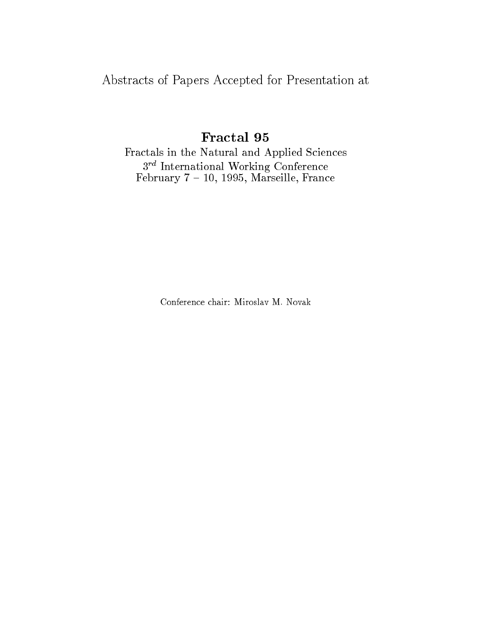Abstracts of Papers Accepted for Presentation at

# Fractal 95

Fractals in the Natural and Applied Sciences 3<sup>rd</sup> International Working Conference February 7 { 10, 1995, Marseille, France

Conference chair: Miroslav M. Novak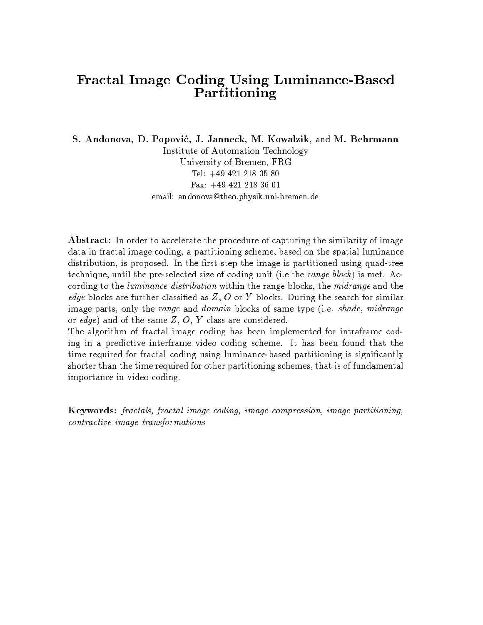#### Fractal Image Coding Using Luminance-Based Partitioning

S. Andonova, D. Popovic, J. Janneck, M. Kowalzik, and M. Behrmann Institute of Automation Technology University of Bremen, FRG Tel: +49 421 218 35 80Fax: +49 421 218 36 01email: andonova@theo.physik.uni-bremen.de

Abstract: In order to accelerate the procedure of capturing the similarity of image data in fractal image coding, a partitioning scheme, based on the spatial luminance distribution, is proposed. In the first step the image is partitioned using quad-tree technique, until the pre-selected size of coding unit (i.e the range block) is met. According to the luminance distribution within the range blocks, the midrange and the *edge* blocks are further classified as  $Z$ ,  $O$  or  $Y$  blocks. During the search for similar image parts, only the range and domain blocks of same type (i.e. shade, midrange or edge) and of the same  $Z, O, Y$  class are considered.

The algorithm of fractal image coding has been implemented for intraframe coding in a predictive interframe video coding scheme. It has been found that the time required for fractal coding using luminance-based partitioning is signicantly shorter than the time required for other partitioning schemes, that is of fundamental importance in video coding.

Keywords: fractals, fractal image coding, image compression, image partitioning, contractive image transformations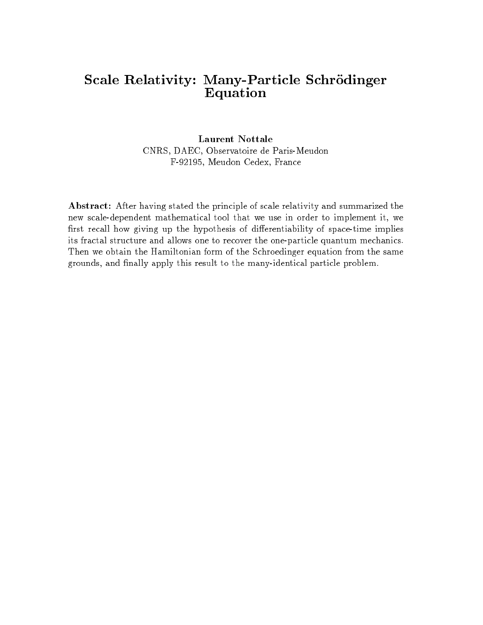# Scale Relativity: Many-Particle Schrödinger Equation

Laurent Nottale CNRS, DAEC, Observatoire de Paris-Meudon F-92195, Meudon Cedex, France

Abstract: After having stated the principle of scale relativity and summarized the new scale-dependent mathematical tool that we use in order to implement it, we first recall how giving up the hypothesis of differentiability of space-time implies its fractal structure and allows one to recover the one-particle quantum mechanics. Then we obtain the Hamiltonian form of the Schroedinger equation from the same grounds, and finally apply this result to the many-identical particle problem.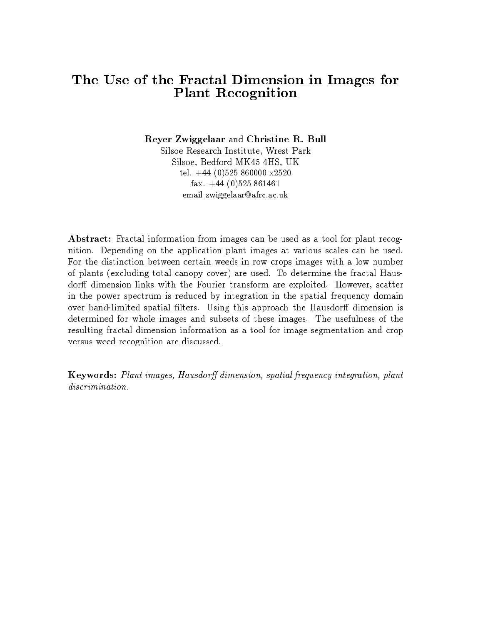#### The Use of the Fractal Dimension in Images for Plant Recognition

Reyer Zwiggelaar and Christine R. Bull Silsoe Research Institute, Wrest Park Silsoe, Bedford MK45 4HS, UK tel. +44 (0)525 860000 x2520fax.  $+44$  (0)525 861461 email zwiggelaar@afrc.ac.uk

Abstract: Fractal information from images can be used as a tool for plant recognition. Depending on the application plant images at various scales can be used. For the distinction between certain weeds in row crops images with a low number of plants (excluding total canopy cover) are used. To determine the fractal Hausdorff dimension links with the Fourier transform are exploited. However, scatter in the power spectrum is reduced by integration in the spatial frequency domain over band-limited spatial filters. Using this approach the Hausdorff dimension is determined for whole images and subsets of these images. The usefulness of the resulting fractal dimension information as a tool for image segmentation and crop versus weed recognition are discussed.

Keywords: Plant images, Hausdorff dimension, spatial frequency integration, plant discrimination.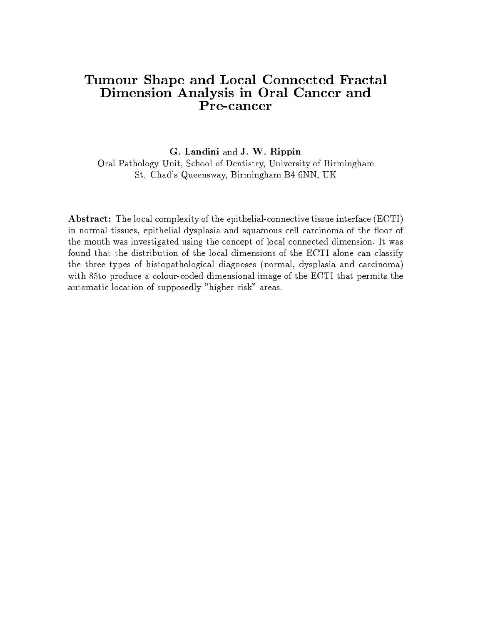#### Tumour Shape and Local Connected Fractal Dimension Analysis in Oral Cancer and Pre-cancer

G. Landini and J. W. Rippin Oral Pathology Unit, School of Dentistry, University of Birmingham St. Chad's Queensway, Birmingham B4 6NN, UK

Abstract: The local complexity of the epithelial-connective tissue interface (ECTI) in normal tissues, epithelial dysplasia and squamous cell carcinoma of the floor of the mouth was investigated using the concept of local connected dimension. It was found that the distribution of the local dimensions of the ECTI alone can classify the three types of histopathological diagnoses (normal, dysplasia and carcinoma) with 85to produce a colour-coded dimensional image of the ECTI that permits the automatic location of supposedly "higher risk" areas.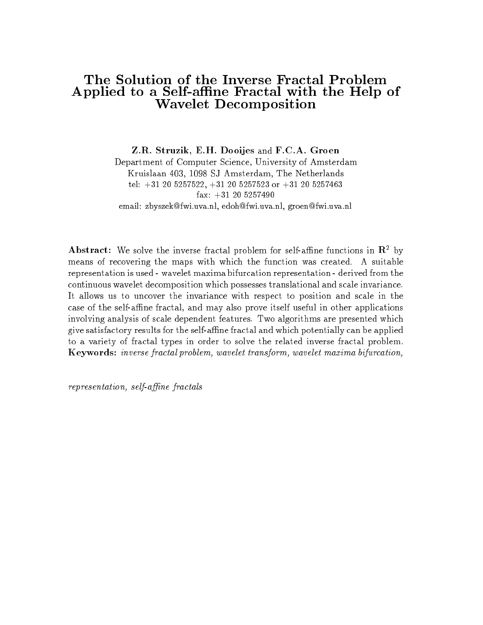#### The Solution of the Inverse Fractal Problem Applied to a Self-affine Fractal with the Help of Wavelet Decomposition

Z.R. Struzik, E.H. Dooijes and F.C.A. Groen Department of Computer Science, University of Amsterdam Kruislaan 403, 1098 SJ Amsterdam, The Netherlands tel:  $+31$  20 5257522,  $+31$  20 5257523 or  $+31$  20 5257463 fax: +31 20 5257490email: zbyszek@fwi.uva.nl, edoh@fwi.uva.nl, groen@fwi.uva.nl

Abstract: We solve the inverse fractal problem for self-affine functions in  $\mathbb{R}^2$  by means of recovering the maps with which the function was created. A suitable representation is used - wavelet maxima bifurcation representation - derived from the continuous wavelet decomposition which possesses translational and scale invariance. It allows us to uncover the invariance with respect to position and scale in the case of the self-affine fractal, and may also prove itself useful in other applications involving analysis of scale dependent features. Two algorithms are presented which give satisfactory results for the self-ane fractal and which potentially can be applied to a variety of fractal types in order to solve the related inverse fractal problem. Keywords: inverse fractal problem, wavelet transform, wavelet maxima bifurcation,

 $representation, self-affine fractals$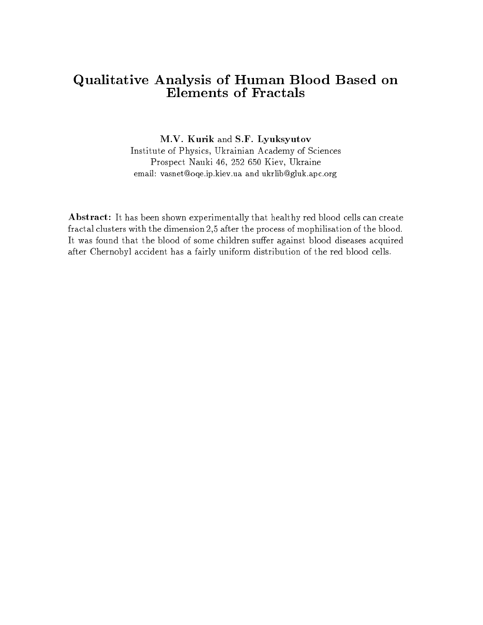## Qualitative Analysis of Human Blood Based on Elements of Fractals

M.V. Kurik and S.F. Lyuksyutov Institute of Physics, Ukrainian Academy of Sciences Prospect Nauki 46, 252 650 Kiev, Ukraine email: vasnet@oqe.ip.kiev.ua and ukrlib@gluk.apc.org

Abstract: It has been shown experimentally that healthy red blood cells can create fractal clusters with the dimension 2,5 after the process of mophilisation of the blood. It was found that the blood of some children suffer against blood diseases acquired after Chernobyl accident has a fairly uniform distribution of the red blood cells.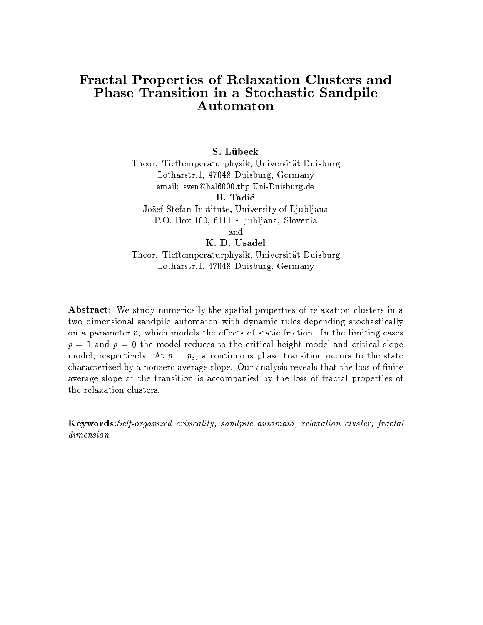#### Fractal Properties of Relaxation Clusters and Phase Transition in a Stochastic Sandpile Automaton

#### S. Lubeck

Theor. Tieftemperaturphysik, Universitat Duisburg Lotharstr.1, 47048 Duisburg, Germany email: sven@hal6000.thp.Uni-Duisburg.de

Jozef Stefan Institute, University of Ljubljana P.O. Box 100, 61111-Ljubljana, Slovenia

and

K. D. Usadel Theor. Tieftemperaturphysik, Universitat Duisburg Lotharstr.1, 47048 Duisburg, Germany

Abstract: We study numerically the spatial properties of relaxation clusters in a two dimensional sandpile automaton with dynamic rules depending stochastically on a parameter  $p$ , which models the effects of static friction. In the limiting cases  $p = 1$  and  $p = 0$  the model reduces to the critical height model and critical slope model, respectively. At  $p = p_c$ , a continuous phase transition occurs to the state characterized by a nonzero average slope. Our analysis reveals that the loss of finite average slope at the transition is accompanied by the loss of fractal properties of the relaxation clusters.

Keywords:Self-organized criticality, sandpile automata, relaxation cluster, fractal dimension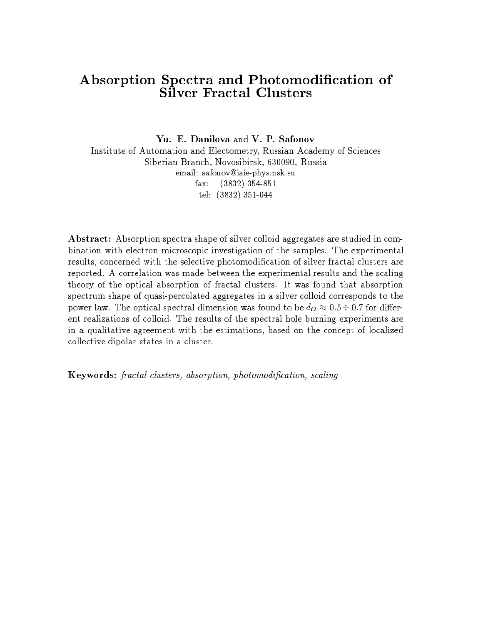#### Absorption Spectra and Photomodication of Silver Fractal Clusters

Yu. E. Danilova and V. P. Safonov

Institute of Automation and Electometry, Russian Academy of Sciences Siberian Branch, Novosibirsk, 630090, Russia email: safonov@iaie-phys.nsk.sufax: (3832) 354-851 tel: (3832) 351-044

Abstract: Absorption spectra shape of silver colloid aggregates are studied in combination with electron microscopic investigation of the samples. The experimental results, concerned with the selective photomodification of silver fractal clusters are reported. A correlation was made between the experimental results and the scaling theory of the optical absorption of fractal clusters. It was found that absorption spectrum shape of quasi-percolated aggregates in a silver colloid corresponds to the power law. The optical spectral dimension was found to be  $d_0 \approx 0.5 \div 0.7$  for different realizations of colloid. The results of the spectral hole burning experiments are in a qualitative agreement with the estimations, based on the concept of localized collective dipolar states in a cluster.

Keywords: fractal clusters, absorption, photomodication, scaling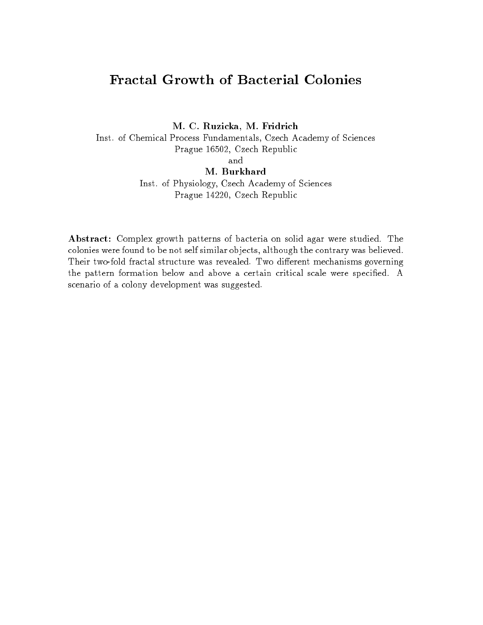# **Fractal Growth of Bacterial Colonies**

M. C. Ruzicka, M. Fridrich Inst. of Chemical Process Fundamentals, Czech Academy of Sciences Prague 16502, Czech Republic and M. Burkhard Inst. of Physiology, Czech Academy of Sciences Prague 14220, Czech Republic

Abstract: Complex growth patterns of bacteria on solid agar were studied. The colonies were found to be not self similar ob jects, although the contrary was believed. Their two-fold fractal structure was revealed. Two different mechanisms governing the pattern formation below and above a certain critical scale were specified. A scenario of a colony development was suggested.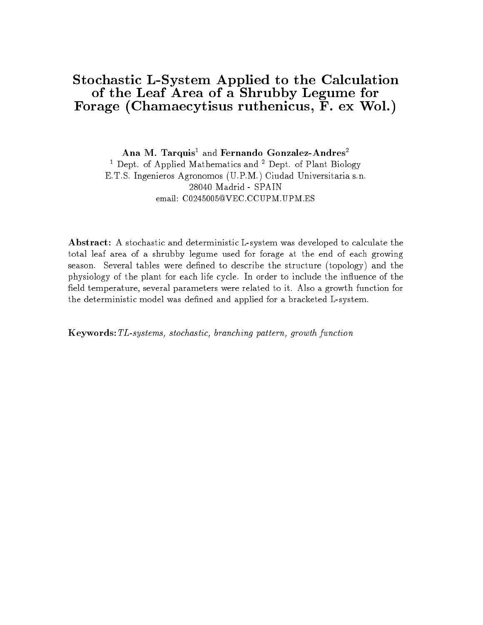#### Stochastic L-System Applied to the Calculation of the Leaf Area of a Shrubby Legume for Forage (Chamaecytisus ruthenicus, F. ex Wol.)

Ana M. Tarquis<sup>1</sup> and Fernando Gonzalez-Andres<sup>2</sup> <sup>1</sup> Dept. of Applied Mathematics and <sup>2</sup> Dept. of Plant Biology E.T.S. Ingenieros Agronomos (U.P.M.) Ciudad Universitaria s.n. 28040 Madrid - SPAIN email: C0245005@VEC.CCUPM.UPM.ES

Abstract: A stochastic and deterministic L-system was developed to calculate the total leaf area of a shrubby legume used for forage at the end of each growing season. Several tables were defined to describe the structure (topology) and the physiology of the plant for each life cycle. In order to include the influence of the field temperature, several parameters were related to it. Also a growth function for the deterministic model was defined and applied for a bracketed L-system.

Keywords:TL-systems, stochastic, branching pattern, growth function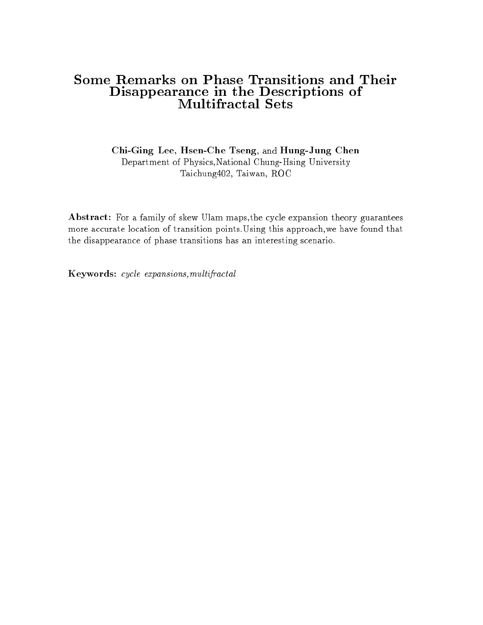#### Some Remarks on Phase Transitions and Their Disappearance in the Descriptions of **Multifractal Sets**

Chi-Ging Lee, Hsen-Che Tseng, and Hung-Jung Chen Department of Physics,National Chung-Hsing University Taichung402, Taiwan, ROC

Abstract: For a family of skew Ulam maps,the cycle expansion theory guarantees more accurate location of transition points.Using this approach,we have found that the disappearance of phase transitions has an interesting scenario.

Keywords: cycle expansions,multifractal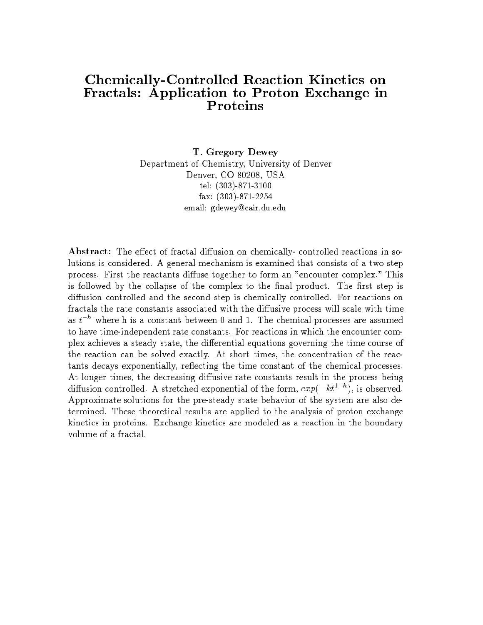#### Chemically-Controlled Reaction Kinetics on Fractals: Application to Proton Exchange in Proteins

T. Gregory Dewey Department of Chemistry, University of Denver Denver, CO 80208, USA tel: (303)-871-3100fax: (303)-871-2254email: gdewey@cair.du.edu

Abstract: The effect of fractal diffusion on chemically- controlled reactions in solutions is considered. A general mechanism is examined that consists of a two step process. First the reactants diffuse together to form an "encounter complex." This is followed by the collapse of the complex to the final product. The first step is diffusion controlled and the second step is chemically controlled. For reactions on fractals the rate constants associated with the diffusive process will scale with time as  $t^{-h}$  where h is a constant between 0 and 1. The chemical processes are assumed to have time-independent rate constants. For reactions in which the encounter complex achieves a steady state, the differential equations governing the time course of the reaction can be solved exactly. At short times, the concentration of the reactants decays exponentially, reflecting the time constant of the chemical processes. At longer times, the decreasing diffusive rate constants result in the process being diffusion controlled. A stretched exponential of the form,  $exp(-\kappa t^2)$ , is observed. Approximate solutions for the pre-steady state behavior of the system are also determined. These theoretical results are applied to the analysis of proton exchange kinetics in proteins. Exchange kinetics are modeled as a reaction in the boundary volume of a fractal.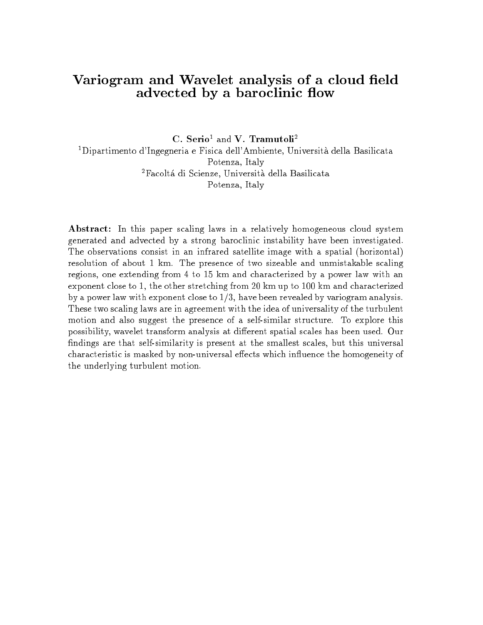### Variogram and Wavelet analysis of a cloud field advected by a baroclinic flow

C. Serio<sup>1</sup> and V. Tramutoli<sup>2</sup> 1Dipartimento d'Ingegneria e Fisica dell'Ambiente, Universita della Basilicata Potenza, Italy <sup>2</sup>Facoltá di Scienze, Università della Basilicata Potenza, Italy

Abstract: In this paper scaling laws in a relatively homogeneous cloud system generated and advected by a strong baroclinic instability have been investigated. The observations consist in an infrared satellite image with a spatial (horizontal) resolution of about 1 km. The presence of two sizeable and unmistakable scaling regions, one extending from 4 to 15 km and characterized by a power law with an exponent close to 1, the other stretching from 20 km up to 100 km and characterized by a power law with exponent close to 1/3, have been revealed by variogram analysis. These two scaling laws are in agreement with the idea of universality of the turbulent motion and also suggest the presence of a self-similar structure. To explore this possibility, wavelet transform analysis at different spatial scales has been used. Our findings are that self-similarity is present at the smallest scales, but this universal characteristic is masked by non-universal effects which influence the homogeneity of the underlying turbulent motion.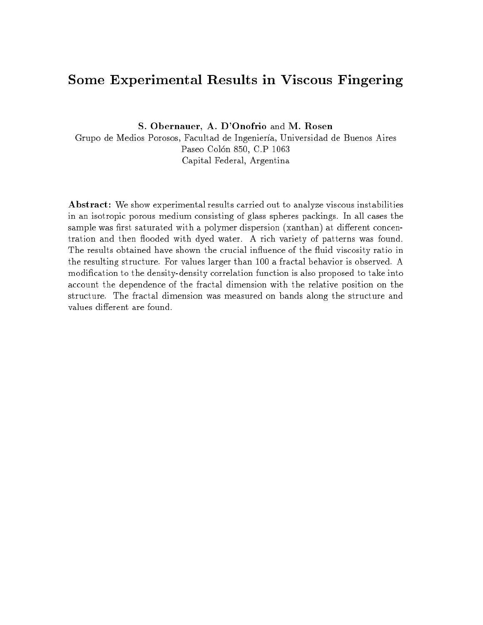#### Some Experimental Results in Viscous Fingering

S. Obernauer, A. D'Onofrio and M. Rosen

Grupo de Medios Porosos, Facultad de Ingeniería, Universidad de Buenos Aires Paseo Colón 850, C.P 1063 Capital Federal, Argentina

Abstract: We show experimental results carried out to analyze viscous instabilities in an isotropic porous medium consisting of glass spheres packings. In all cases the sample was first saturated with a polymer dispersion (xanthan) at different concentration and then flooded with dyed water. A rich variety of patterns was found. The results obtained have shown the crucial influence of the fluid viscosity ratio in the resulting structure. For values larger than 100 a fractal behavior is observed. A modication to the density-density correlation function is also proposed to take into account the dependence of the fractal dimension with the relative position on the structure. The fractal dimension was measured on bands along the structure and values different are found.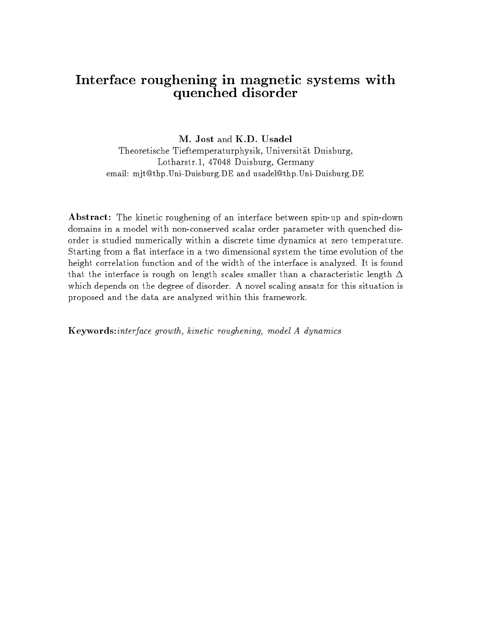## Interface roughening in magnetic systems with quenched disorder

M. Jost and K.D. Usadel Theoretische Tieftemperaturphysik, Universitat Duisburg, Lotharstr.1, 47048 Duisburg, Germany email: mjt@thp.Uni-Duisburg.DE and usadel@thp.Uni-Duisburg.DE

Abstract: The kinetic roughening of an interface between spin-up and spin-down domains in a model with non-conserved scalar order parameter with quenched disorder is studied numerically within a discrete time dynamics at zero temperature. Starting from a flat interface in a two dimensional system the time evolution of the height correlation function and of the width of the interface is analyzed. It is found that the interface is rough on length scales smaller than a characteristic length  $\Delta$ which depends on the degree of disorder. A novel scaling ansatz for this situation is proposed and the data are analyzed within this framework.

Keywords:interface growth, kinetic roughening, model A dynamics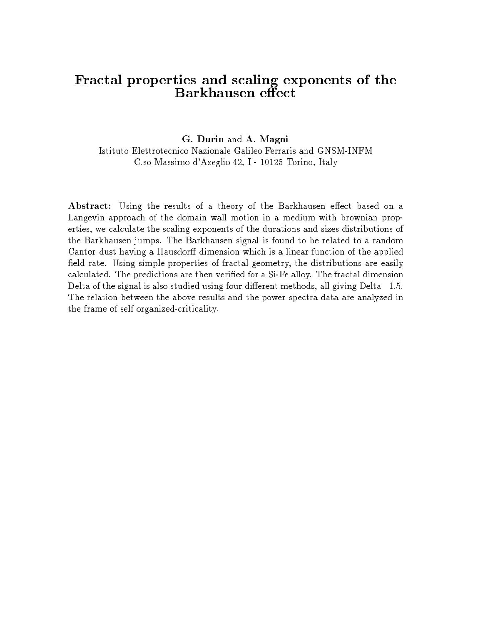#### Fractal properties and scaling exponents of the Barkhausen effect

#### G. Durin and A. Magni

Istituto Elettrotecnico Nazionale Galileo Ferraris and GNSM-INFM C.so Massimo d'Azeglio 42, I - 10125 Torino, Italy

Abstract: Using the results of a theory of the Barkhausen effect based on a Langevin approach of the domain wall motion in a medium with brownian properties, we calculate the scaling exponents of the durations and sizes distributions of the Barkhausen jumps. The Barkhausen signal is found to be related to a random Cantor dust having a Hausdorff dimension which is a linear function of the applied field rate. Using simple properties of fractal geometry, the distributions are easily calculated. The predictions are then veried for a Si-Fe alloy. The fractal dimension Delta of the signal is also studied using four different methods, all giving Delta 1.5. The relation between the above results and the power spectra data are analyzed in the frame of self organized-criticality.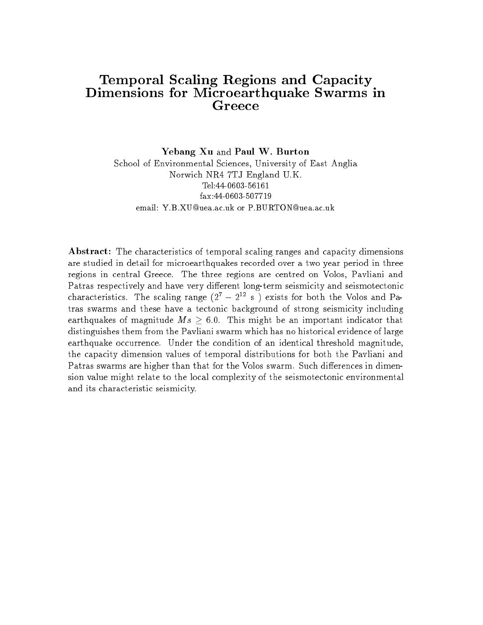# Temporal Scaling Regions and Capacity Dimensions for Microearthquake Swarms in

Yebang Xu and Paul W. Burton School of Environmental Sciences, University of East Anglia Norwich NR4 7TJ England U.K. Tel:44-0603-56161fax:44-0603-507719email: Y.B.XU@uea.ac.uk or P.BURTON@uea.ac.uk

Abstract: The characteristics of temporal scaling ranges and capacity dimensions are studied in detail for microearthquakes recorded over a two year period in three regions in central Greece. The three regions are centred on Volos, Pavliani and Patras respectively and have very different long-term seismicity and seismotectonic characteristics. The scaling range (27  $-$  2<sup>-2</sup> s ) exists for both the Volos and Patras swarms and these have a tectonic background of strong seismicity including  $\frac{1}{2}$  . The state of  $\frac{1}{2}$  s  $\frac{1}{2}$  s  $\frac{1}{2}$  ,  $\frac{1}{2}$  ,  $\frac{1}{2}$  ,  $\frac{1}{2}$  ,  $\frac{1}{2}$  ,  $\frac{1}{2}$  ,  $\frac{1}{2}$  ,  $\frac{1}{2}$  ,  $\frac{1}{2}$  ,  $\frac{1}{2}$  ,  $\frac{1}{2}$  ,  $\frac{1}{2}$  ,  $\frac{1}{2}$  ,  $\frac{1}{2}$  ,  $\frac{$ distinguishes them from the Pavliani swarm which has no historical evidence of large earthquake occurrence. Under the condition of an identical threshold magnitude, the capacity dimension values of temporal distributions for both the Pavliani and Patras swarms are higher than that for the Volos swarm. Such differences in dimension value might relate to the local complexity of the seismotectonic environmental and its characteristic seismicity.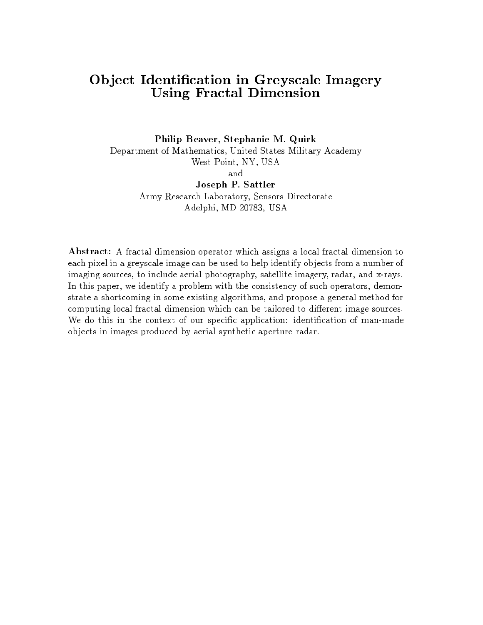#### Ob ject Identication in Greyscale Imagery Using Fractal Dimension

Philip Beaver, Stephanie M. Quirk Department of Mathematics, United States Military Academy West Point, NY, USA and Joseph P. Sattler Army Research Laboratory, Sensors Directorate Adelphi, MD 20783, USA

Abstract: A fractal dimension operator which assigns a local fractal dimension to each pixel in a greyscale image can be used to help identify ob jects from a number of imaging sources, to include aerial photography, satellite imagery, radar, and x-rays. In this paper, we identify a problem with the consistency of such operators, demonstrate a shortcoming in some existing algorithms, and propose a general method for computing local fractal dimension which can be tailored to different image sources. We do this in the context of our specific application: identification of man-made ob jects in images produced by aerial synthetic aperture radar.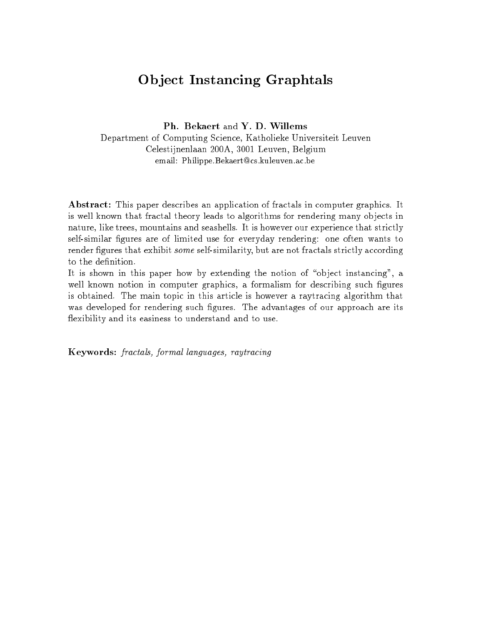# Ob ject Instancing Graphtals

Ph. Bekaert and Y. D. Willems

Department of Computing Science, Katholieke Universiteit Leuven Celestijnenlaan 200A, 3001 Leuven, Belgium email: Philippe.Bekaert@cs.kuleuven.ac.be

Abstract: This paper describes an application of fractals in computer graphics. It is well known that fractal theory leads to algorithms for rendering many objects in nature, like trees, mountains and seashells. It is however our experience that strictly self-similar figures are of limited use for everyday rendering: one often wants to render figures that exhibit *some* self-similarity, but are not fractals strictly according to the definition.

It is shown in this paper how by extending the notion of "object instancing", a well known notion in computer graphics, a formalism for describing such figures is obtained. The main topic in this article is however a raytracing algorithm that was developed for rendering such figures. The advantages of our approach are its flexibility and its easiness to understand and to use.

Keywords: fractals, formal languages, raytracing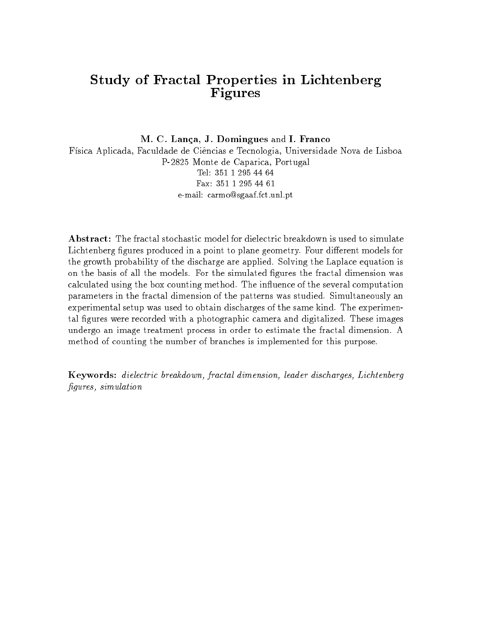#### Study of Fractal Properties in Lichtenberg Figures

M. C. Lanca, J. Domingues and I. Franco Física Aplicada, Faculdade de Ciências e Tecnologia, Universidade Nova de Lisboa P-2825 Monte de Caparica, Portugal Tel: 351 1 295 44 64Fax: 351 1 295 44 61e-mail: carmo@sgaaf.fct.unl.pt

Abstract: The fractal stochastic model for dielectric breakdown is used to simulate Lichtenberg figures produced in a point to plane geometry. Four different models for the growth probability of the discharge are applied. Solving the Laplace equation is on the basis of all the models. For the simulated figures the fractal dimension was calculated using the box counting method. The influence of the several computation parameters in the fractal dimension of the patterns was studied. Simultaneously an experimental setup was used to obtain discharges of the same kind. The experimental figures were recorded with a photographic camera and digitalized. These images undergo an image treatment process in order to estimate the fractal dimension. A method of counting the number of branches is implemented for this purpose.

Keywords: dielectric breakdown, fractal dimension, leader discharges, Lichtenberg figures, simulation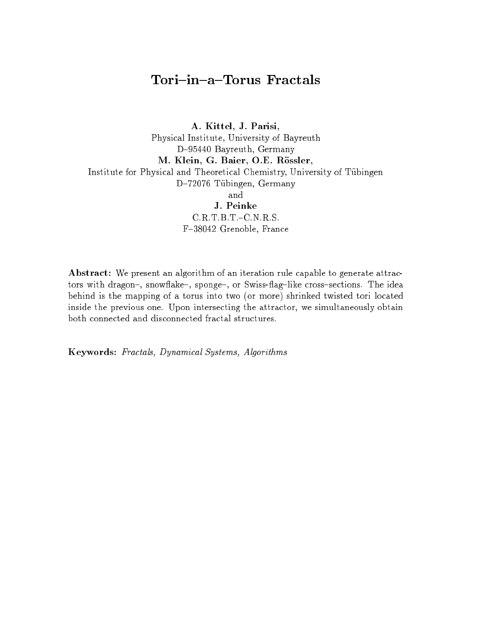# Tori-in-a-Torus Fractals

A. Kittel, J. Parisi, Physical Institute, University of Bayreuth D-95440 Bayreuth, Germany M. Klein, G. Baier, O.E. Rössler, Institute for Physical and Theoretical Chemistry, University of Tubingen D-72076 Tübingen, Germany and J. Peinke C.R.T.B.T.-C.N.R.S. F-38042 Grenoble, France

Abstract: We present an algorithm of an iteration rule capable to generate attractors with dragon-, snowflake-, sponge-, or Swiss-flag-like cross-sections. The idea behind is the mapping of a torus into two (or more) shrinked twisted tori located inside the previous one. Upon intersecting the attractor, we simultaneously obtain both connected and disconnected fractal structures.

Keywords: Fractals, Dynamical Systems, Algorithms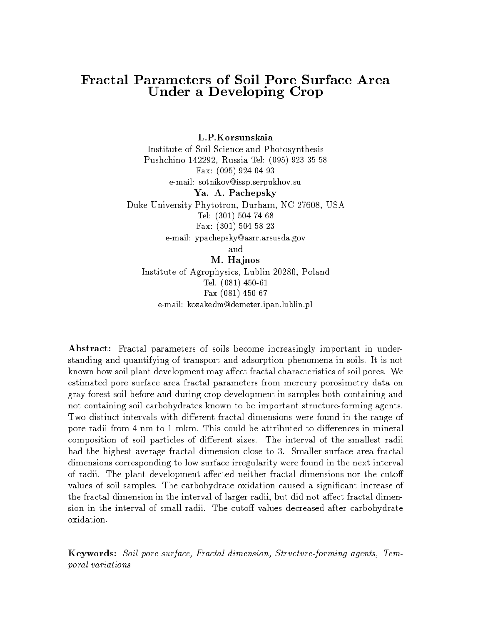#### **Fractal Parameters of Soil Pore Surface Area** Under a Developing Crop

L.P.Korsunskaia Institute of Soil Science and Photosynthesis Pushchino 142292, Russia Tel: (095) 923 35 58 Fax: (095) 924 04 93e-mail: sotnikov@issp.serpukhov.suYa. A. Pachepsky Duke University Phytotron, Durham, NC 27608, USA Tel: (301) 504 74 68Fax: (301) 504 58 23e-mail: ypachepsky@asrr.arsusda.govand

M. Hajnos Institute of Agrophysics, Lublin 20280, Poland Tel. (081) 450-61Fax (081) 450-67e-mail: kozakedm@demeter.ipan.lublin.pl

Abstract: Fractal parameters of soils become increasingly important in understanding and quantifying of transport and adsorption phenomena in soils. It is not known how soil plant development may affect fractal characteristics of soil pores. We estimated pore surface area fractal parameters from mercury porosimetry data on gray forest soil before and during crop development in samples both containing and not containing soil carbohydrates known to be important structure-forming agents. Two distinct intervals with different fractal dimensions were found in the range of pore radii from 4 nm to 1 mkm. This could be attributed to differences in mineral composition of soil particles of different sizes. The interval of the smallest radii had the highest average fractal dimension close to 3. Smaller surface area fractal dimensions corresponding to low surface irregularity were found in the next interval of radii. The plant development affected neither fractal dimensions nor the cutoff values of soil samples. The carbohydrate oxidation caused a significant increase of the fractal dimension in the interval of larger radii, but did not affect fractal dimension in the interval of small radii. The cutoff values decreased after carbohydrate oxidation.

Keywords: Soil pore surface, Fractal dimension, Structure-forming agents, Temporal variations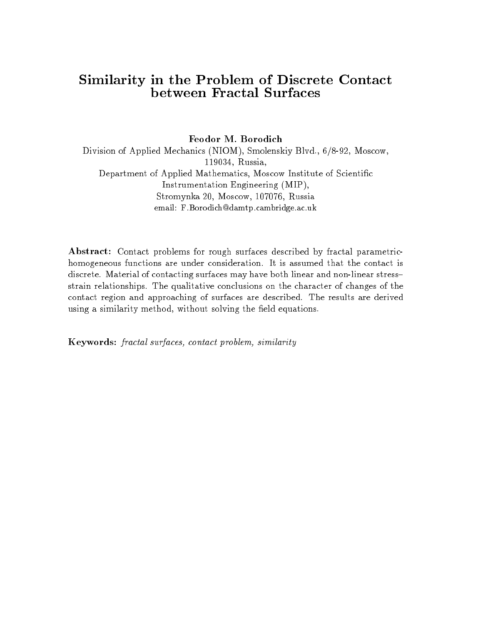## Similarity in the Problem of Discrete Contact between Fractal Surfaces

Feodor M. Borodich

Division of Applied Mechanics (NIOM), Smolenskiy Blvd., 6/8-92, Moscow, 119034, Russia, Department of Applied Mathematics, Moscow Institute of Scientic Instrumentation Engineering (MIP), Stromynka 20, Moscow, 107076, Russia email: F.Borodich@damtp.cambridge.ac.uk

Abstract: Contact problems for rough surfaces described by fractal parametrichomogeneous functions are under consideration. It is assumed that the contact is discrete. Material of contacting surfaces may have both linear and non-linear stressstrain relationships. The qualitative conclusions on the character of changes of the contact region and approaching of surfaces are described. The results are derived using a similarity method, without solving the field equations.

Keywords: fractal surfaces, contact problem, similarity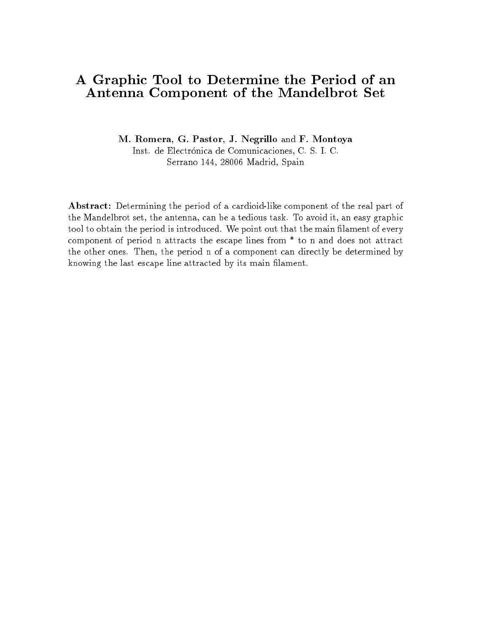## A Graphic Tool to Determine the Period of an Antenna Component of the Mandelbrot Set

M. Romera, G. Pastor, J. Negrillo and F. Montoya Inst. de Electrónica de Comunicaciones, C. S. I. C.

Serrano 144, 28006 Madrid, Spain

Abstract: Determining the period of a cardioid-like component of the real part of the Mandelbrot set, the antenna, can be a tedious task. To avoid it, an easy graphic tool to obtain the period is introduced. We point out that the main filament of every component of period n attracts the escape lines from \* to n and does not attract the other ones. Then, the period n of a component can directly be determined by knowing the last escape line attracted by its main lament.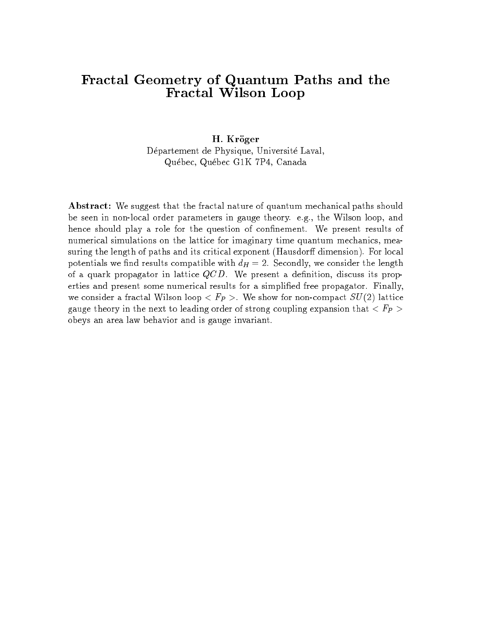#### Fractal Geometry of Quantum Paths and the Fractal Wilson Loop

#### H. Kröger

Département de Physique, Université Laval, Quebec, Quebec G1K 7P4, Canada

Abstract: We suggest that the fractal nature of quantum mechanical paths should be seen in non-local order parameters in gauge theory. e.g., the Wilson loop, and hence should play a role for the question of confinement. We present results of numerical simulations on the lattice for imaginary time quantum mechanics, measuring the length of paths and its critical exponent (Hausdorff dimension). For local potentials we find results compatible with  $d_H = 2$ . Secondly, we consider the length of a quark propagator in lattice  $QCD$ . We present a definition, discuss its properties and present some numerical results for a simplied free propagator. Finally, we consider a fractal Wilson loop  $\langle F_P \rangle$ . We show for non-compact  $SU(2)$  lattice gauge theory in the next to leading order of strong coupling expansion that  $\langle F_P \rangle$ obeys an area law behavior and is gauge invariant.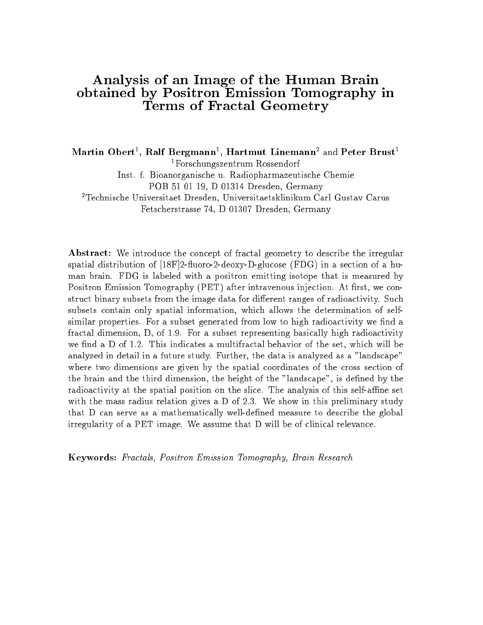#### Analysis of an Image of the Human Brain obtained by Positron Emission Tomography in Terms of Fractal Geometry

lylartin Obert<sup>-</sup>, Ralf Bergmann<sup>-</sup>, Hartmut Linemann<sup>-</sup> and Peter Brust<sup>-</sup> 1Forschungszentrum Rossendorf

Inst. f. Bioanorganische u. Radiopharmazeutische Chemie

POB 51 01 19, D 01314 Dresden, Germany

2Technische Universitaet Dresden, Universitaetsklinikum Carl Gustav Carus Fetscherstrasse 74, D 01307 Dresden, Germany

Abstract: We introduce the concept of fractal geometry to describe the irregular spatial distribution of  $[18F]2$ -fluoro-2-deoxy-D-glucose (FDG) in a section of a human brain. FDG is labeled with a positron emitting isotope that is measured by Positron Emission Tomography (PET) after intravenous injection. At first, we construct binary subsets from the image data for different ranges of radioactivity. Such subsets contain only spatial information, which allows the determination of selfsimilar properties. For a subset generated from low to high radioactivity we find a fractal dimension, D, of 1.9. For a subset representing basically high radioactivity we find a  $D$  of 1.2. This indicates a multifractal behavior of the set, which will be analyzed in detail in a future study. Further, the data is analyzed as a "landscape" where two dimensions are given by the spatial coordinates of the cross section of the brain and the third dimension, the height of the "landscape", is defined by the radioactivity at the spatial position on the slice. The analysis of this self-affine set with the mass radius relation gives a D of 2.3. We show in this preliminary study that D can serve as a mathematically well-defined measure to describe the global irregularity of a PET image. We assume that D will be of clinical relevance.

Keywords: Fractals, Positron Emission Tomography, Brain Research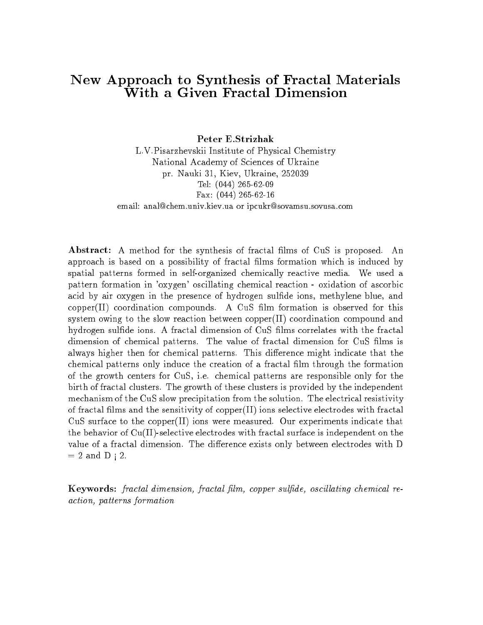#### New Approach to Synthesis of Fractal Materials With a Given Fractal Dimension

Peter E.Strizhak

L.V.Pisarzhevskii Institute of Physical Chemistry National Academy of Sciences of Ukraine pr. Nauki 31, Kiev, Ukraine, 252039 Tel: (044) 265-62-09Fax: (044) 265-62-16email: anal@chem.univ.kiev.ua or ipcukr@sovamsu.sovusa.com

Abstract: A method for the synthesis of fractal films of CuS is proposed. An approach is based on a possibility of fractal films formation which is induced by spatial patterns formed in self-organized chemically reactive media. We used a pattern formation in 'oxygen' oscillating chemical reaction - oxidation of ascorbic acid by air oxygen in the presence of hydrogen sulfide ions, methylene blue, and  $copper(II)$  coordination compounds. A CuS film formation is observed for this system owing to the slow reaction between copper $(II)$  coordination compound and hydrogen sulfide ions. A fractal dimension of CuS films correlates with the fractal dimension of chemical patterns. The value of fractal dimension for CuS films is always higher then for chemical patterns. This difference might indicate that the chemical patterns only induce the creation of a fractal lm through the formation of the growth centers for CuS, i.e. chemical patterns are responsible only for the birth of fractal clusters. The growth of these clusters is provided by the independent mechanism of the CuS slow precipitation from the solution. The electrical resistivity of fractal films and the sensitivity of copper $(II)$  ions selective electrodes with fractal CuS surface to the copper $(II)$  ions were measured. Our experiments indicate that the behavior of  $Cu(II)$ -selective electrodes with fractal surface is independent on the value of a fractal dimension. The difference exists only between electrodes with D  $= 2$  and D  $\vert$  2.

Keywords: fractal dimension, fractal film, copper sulfide, oscillating chemical reaction, patterns formation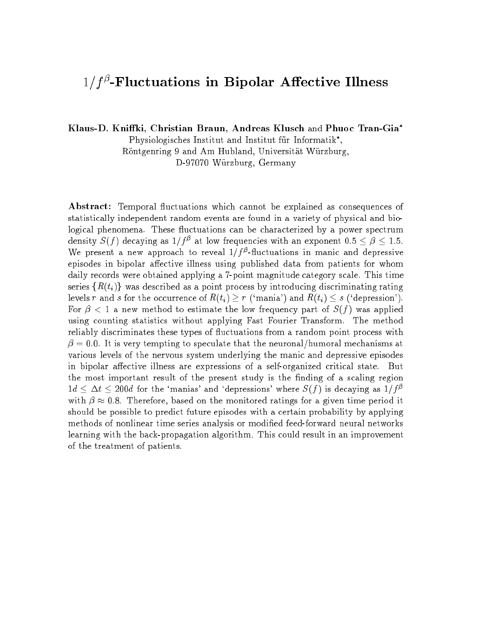#### $1/T$ -filuctuations in Bipolar Allective Illness

Klaus-D. Kniffki, Christian Braun, Andreas Klusch and Phuoc Tran-Gia\*

Physiologisches Institut and Institut fur Informatik ,

Rontgenring 9 and Am Hubland, Universitat Wurzburg,

D-97070 Wurzburg, Germany

Abstract: Temporal fluctuations which cannot be explained as consequences of statistically independent random events are found in a variety of physical and biological phenomena. These fluctuations can be characterized by a power spectrum density  $S(f)$  decaying as  $1/f^*$  at low frequencies with an exponent 0.5  $\leq \beta \leq 1.5.$ we present a new approach to reveal  $1/T$ -nuctuations in manic and depressive episodes in bipolar affective illness using published data from patients for whom daily records were obtained applying a 7-point magnitude category scale. This time series  $\{R(t_i)\}\$  was described as a point process by introducing discriminating rating levels r and s for the occurrence of  $R(t_i) \geq r$  ('mania') and  $R(t_i) \leq s$  ('depression'). For  $\beta$  < 1 a new method to estimate the low frequency part of  $S(f)$  was applied using counting statistics without applying Fast Fourier Transform. The method reliably discriminates these types of 
uctuations from a random point process with  $\beta = 0.0$ . It is very tempting to speculate that the neuronal/humoral mechanisms at various levels of the nervous system underlying the manic and depressive episodes in bipolar affective illness are expressions of a self-organized critical state. But the most important result of the present study is the finding of a scaling region  $1d \leq \Delta t \leq 200d$  for the 'manias' and 'depressions' where  $S(f)$  is decaying as  $1/f^{\beta}$ with  $\mu$  , and therefore, based on the monitored ratings for a given time period it is a given time period it. should be possible to predict future episodes with a certain probability by applying methods of nonlinear time series analysis or modied feed-forward neural networks learning with the back-propagation algorithm. This could result in an improvement of the treatment of patients.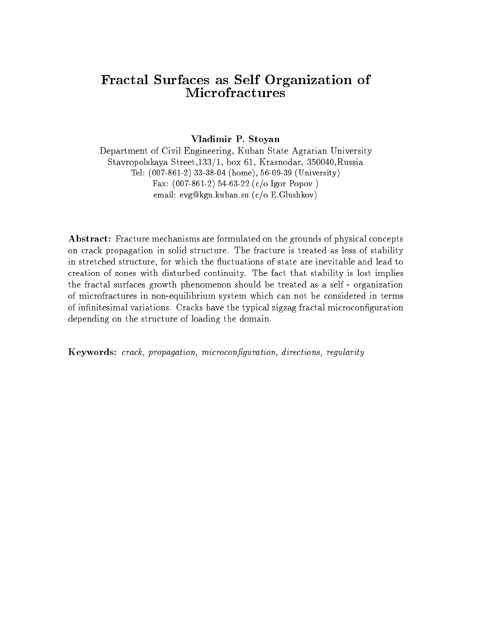#### Fractal Surfaces as Self Organization of Microfractures

#### Vladimir P. Stoyan

Department of Civil Engineering, Kuban State Agrarian University Stavropolskaya Street,133/1, box 61, Krasnodar, 350040,Russia Tel: (007-861-2) 33-38-04 (home), 56-09-39 (University)Fax: (007-861-2) 54-63-22 (c/o Igor Popov )email: evg@kgu.kuban.su (c/o E.Glushkov)

Abstract: Fracture mechanisms are formulated on the grounds of physical concepts on crack propagation in solid structure. The fracture is treated as loss of stability in stretched structure, for which the 
uctuations of state are inevitable and lead to creation of zones with disturbed continuity. The fact that stability is lost implies the fractal surfaces growth phenomenon should be treated as a self - organization of microfractures in non-equilibrium system which can not be considered in terms of infinitesimal variations. Cracks have the typical zigzag fractal microconfiguration depending on the structure of loading the domain.

Keywords: crack, propagation, microconguration, directions, regularity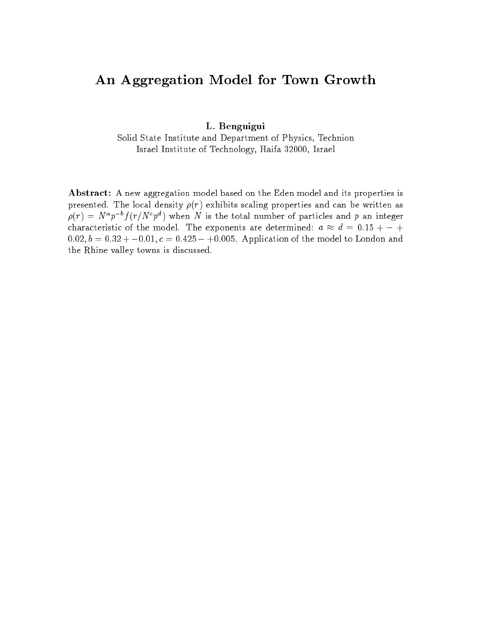# An Aggregation Model for Town Growth

L. Benguigui

Solid State Institute and Department of Physics, Technion Israel Institute of Technology, Haifa 32000, Israel

Abstract: A new aggregation model based on the Eden model and its properties is presented. The local density  $\rho(r)$  exhibits scaling properties and can be written as  $\rho(r) = N^{\alpha} p^{-b} f(r/N^c p^d)$  when N is the total number of particles and p an integer characteristic of the model. The exponents are determined: <sup>a</sup> d= 0:15 + <sup>+</sup>  $0.02, b = 0.32 + -0.01, c = 0.425 - +0.005$ . Application of the model to London and the Rhine valley towns is discussed.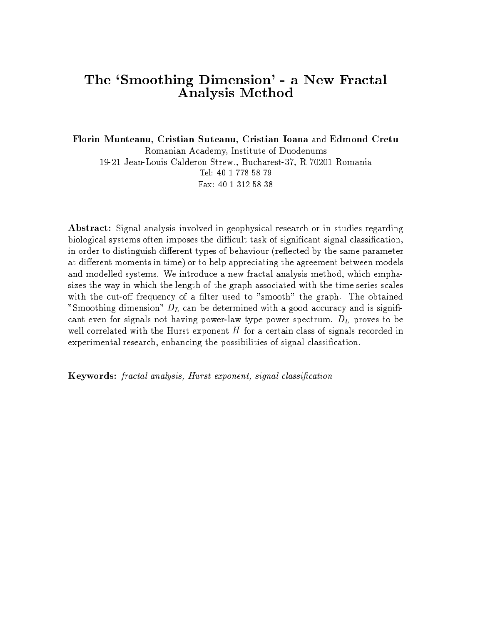#### The `Smoothing Dimension' - a New Fractal Analysis Method

Florin Munteanu, Cristian Suteanu, Cristian Ioana and Edmond Cretu Romanian Academy, Institute of Duodenums 19-21 Jean-Louis Calderon Strew., Bucharest-37, R 70201 Romania Tel: 40 1 778 58 79Fax: 40 1 312 58 38

Abstract: Signal analysis involved in geophysical research or in studies regarding biological systems often imposes the difficult task of significant signal classification, in order to distinguish different types of behaviour (reflected by the same parameter at different moments in time) or to help appreciating the agreement between models and modelled systems. We introduce a new fractal analysis method, which emphasizes the way in which the length of the graph associated with the time series scales with the cut-off frequency of a filter used to "smooth" the graph. The obtained "Smoothing dimension"  $D<sub>L</sub>$  can be determined with a good accuracy and is significant even for signals not having power-law type power spectrum.  $D_L$  proves to be well correlated with the Hurst exponent  $H$  for a certain class of signals recorded in experimental research, enhancing the possibilities of signal classication.

Keywords: fractal analysis, Hurst exponent, signal classication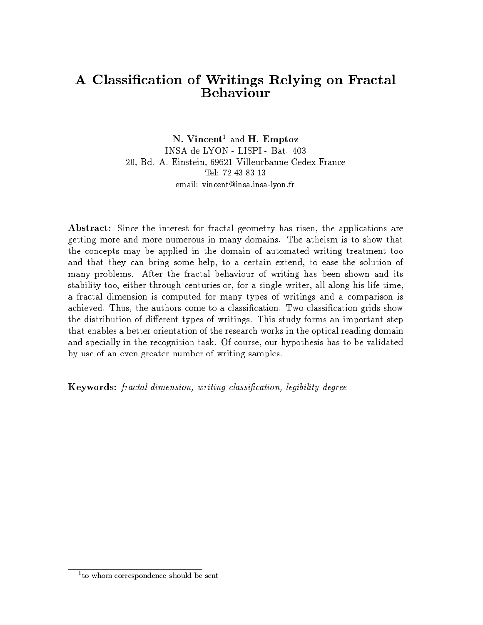## A Classication of Writings Relying on Fractal **Behaviour**

N. Vincent <sup>1</sup> and H. Emptoz INSA de LYON - LISPI - Bat. 403 20, Bd. A. Einstein, 69621 Villeurbanne Cedex France Tel: 72 43 83 13email: vincent@insa.insa-lyon.fr

Abstract: Since the interest for fractal geometry has risen, the applications are getting more and more numerous in many domains. The atheism is to show that the concepts may be applied in the domain of automated writing treatment too and that they can bring some help, to a certain extend, to ease the solution of many problems. After the fractal behaviour of writing has been shown and its stability too, either through centuries or, for a single writer, all along his life time, a fractal dimension is computed for many types of writings and a comparison is achieved. Thus, the authors come to a classication. Two classication grids show the distribution of different types of writings. This study forms an important step that enables a better orientation of the research works in the optical reading domain and specially in the recognition task. Of course, our hypothesis has to be validated by use of an even greater number of writing samples.

Keywords: fractal dimension, writing classication, legibility degree

<sup>1</sup> to whom correspondence should be sent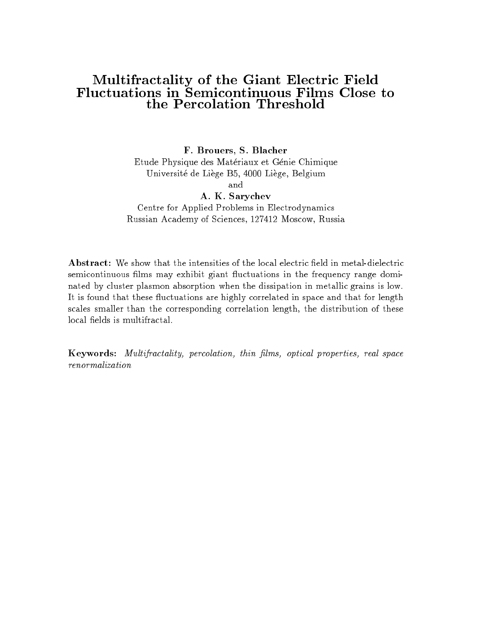# Multifractality of the Giant Electric Field

F. Brouers, S. Blacher Etude Physique des Materiaux et Genie Chimique Universite de Liege B5, 4000 Liege, Belgium and A. K. Sarychev

Centre for Applied Problems in Electrodynamics Russian Academy of Sciences, 127412 Moscow, Russia

Abstract: We show that the intensities of the local electric field in metal-dielectric semicontinuous films may exhibit giant fluctuations in the frequency range dominated by cluster plasmon absorption when the dissipation in metallic grains is low. It is found that these fluctuations are highly correlated in space and that for length scales smaller than the corresponding correlation length, the distribution of these local fields is multifractal.

Keywords: Multifractality, percolation, thin lms, optical properties, real space renormalization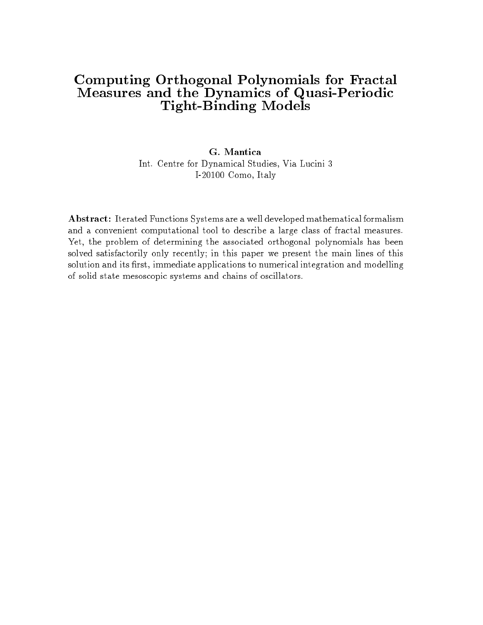#### Computing Orthogonal Polynomials for Fractal Measures and the Dynamics of Quasi-Periodic Tight-Binding Models

#### G. Mantica Int. Centre for Dynamical Studies, Via Lucini 3 I-20100 Como, Italy

Abstract: Iterated Functions Systems are a well developed mathematical formalism and a convenient computational tool to describe a large class of fractal measures. Yet, the problem of determining the associated orthogonal polynomials has been solved satisfactorily only recently; in this paper we present the main lines of this solution and its first, immediate applications to numerical integration and modelling of solid state mesoscopic systems and chains of oscillators.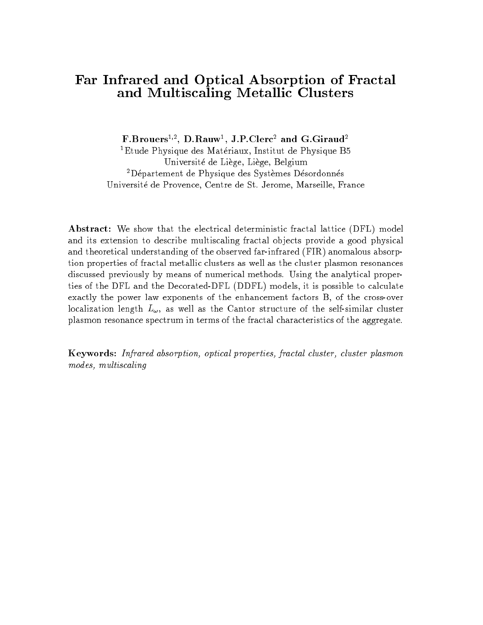#### Far Infrared and Optical Absorption of Fractal and Multiscaling Metallic Clusters

r.brouers<sup>-,</sup>, D.Rauw<sup>-</sup>, J.P.Clerc<sup>-</sup> and G.Giraud<sup>-</sup>

<sup>1</sup>Etude Physique des Matériaux, Institut de Physique B5 Universite de Liege, Liege, Belgium <sup>2</sup>Département de Physique des Systèmes Désordonnés Universite de Provence, Centre de St. Jerome, Marseille, France

Abstract: We show that the electrical deterministic fractal lattice (DFL) model and its extension to describe multiscaling fractal objects provide a good physical and theoretical understanding of the observed far-infrared (FIR) anomalous absorption properties of fractal metallic clusters as well as the cluster plasmon resonances discussed previously by means of numerical methods. Using the analytical properties of the DFL and the Decorated-DFL (DDFL) models, it is possible to calculate exactly the power law exponents of the enhancement factors B, of the cross-over localization length  $L_{\omega}$ , as well as the Cantor structure of the self-similar cluster plasmon resonance spectrum in terms of the fractal characteristics of the aggregate.

Keywords: Infrared absorption, optical properties, fractal cluster, cluster plasmon modes, multiscaling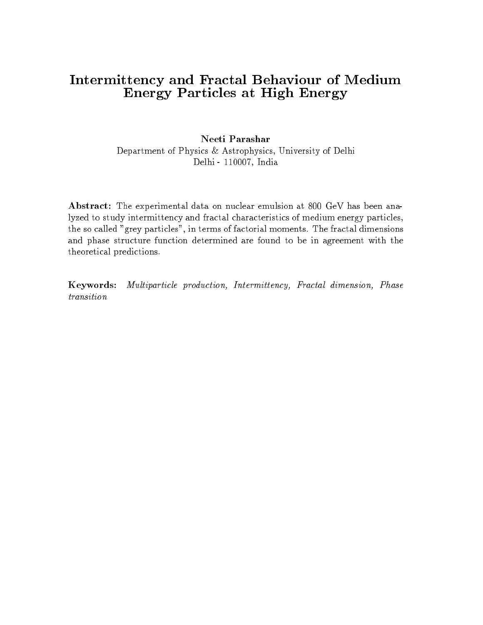# Intermittency and Fractal Behaviour of Medium Energy Particles at High Energy

#### Neeti Parashar

Department of Physics & Astrophysics, University of Delhi Delhi - 110007, India

Abstract: The experimental data on nuclear emulsion at 800 GeV has been analyzed to study intermittency and fractal characteristics of medium energy particles, the so called "grey particles", in terms of factorial moments. The fractal dimensions and phase structure function determined are found to be in agreement with the theoretical predictions.

Keywords: Multiparticle production, Intermittency, Fractal dimension, Phase transition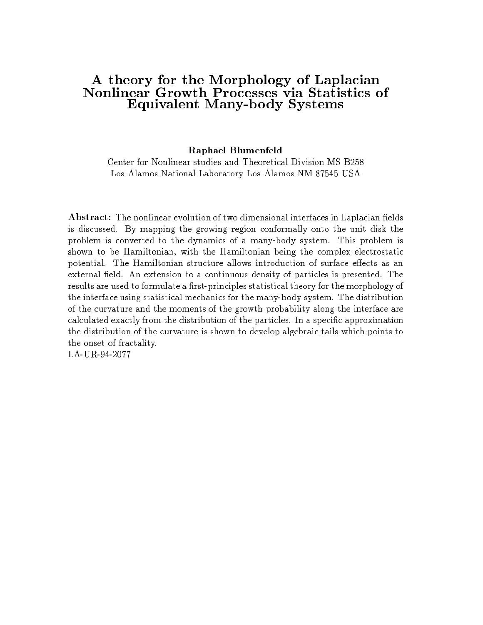#### A theory for the Morphology of Laplacian Nonlinear Growth Processes via Statistics of Equivalent Many-body Systems

Raphael Blumenfeld

Center for Nonlinear studies and Theoretical Division MS B258 Los Alamos National Laboratory Los Alamos NM 87545 USA

Abstract: The nonlinear evolution of two dimensional interfaces in Laplacian fields is discussed. By mapping the growing region conformally onto the unit disk the problem is converted to the dynamics of a many-body system. This problem is shown to be Hamiltonian, with the Hamiltonian being the complex electrostatic potential. The Hamiltonian structure allows introduction of surface effects as an external field. An extension to a continuous density of particles is presented. The results are used to formulate a first-principles statistical theory for the morphology of the interface using statistical mechanics for the many-body system. The distribution of the curvature and the moments of the growth probability along the interface are calculated exactly from the distribution of the particles. In a specic approximation the distribution of the curvature is shown to develop algebraic tails which points to the onset of fractality.

LA-UR-94-2077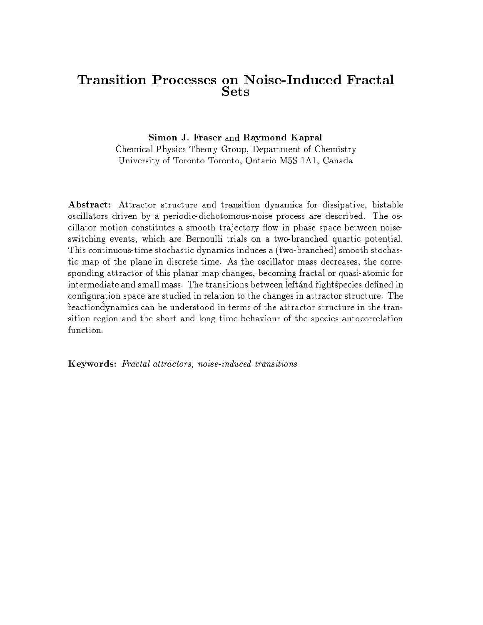#### Transition Processes on Noise-Induced Fractal Sets

#### Simon J. Fraser and Raymond Kapral

Chemical Physics Theory Group, Department of Chemistry University of Toronto Toronto, Ontario M5S 1A1, Canada

Abstract: Attractor structure and transition dynamics for dissipative, bistable oscillators driven by a periodic-dichotomous-noise process are described. The oscillator motion constitutes a smooth trajectory flow in phase space between noiseswitching events, which are Bernoulli trials on a two-branched quartic potential. This continuous-time stochastic dynamics induces a (two-branched) smooth stochastic map of the plane in discrete time. As the oscillator mass decreases, the corresponding attractor of this planar map changes, becoming fractal or quasi-atomic for intermediate and small mass. The transitions between leftand rightspecies dened in configuration space are studied in relation to the changes in attractor structure. The reactiondynamics can be understood in terms of the attractor structure in the transition region and the short and long time behaviour of the species autocorrelation function.

Keywords: Fractal attractors, noise-induced transitions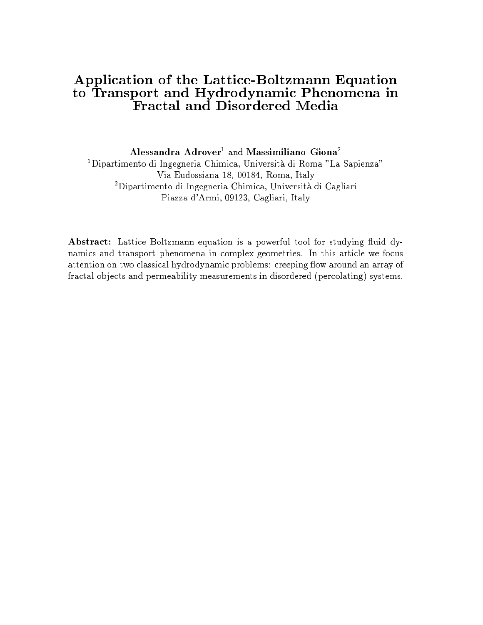# Application of the Lattice-Boltzmann Equation to Transport and Hydrodynamic Phenomena in

Alessandra  $Adrover<sup>1</sup>$  and Massimiliano Giona<sup>2</sup> 1Dipartimento di Ingegneria Chimica, Universita di Roma "La Sapienza" Via Eudossiana 18, 00184, Roma, Italy 2Dipartimento di Ingegneria Chimica, Universita di Cagliari Piazza d'Armi, 09123, Cagliari, Italy

Abstract: Lattice Boltzmann equation is a powerful tool for studying fluid dynamics and transport phenomena in complex geometries. In this article we focus attention on two classical hydrodynamic problems: creeping flow around an array of fractal objects and permeability measurements in disordered (percolating) systems.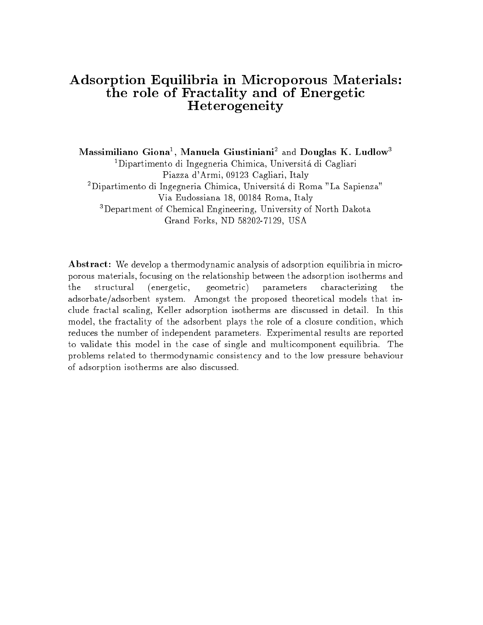#### Adsorption Equilibria in Microporous Materials: the role of Fractality and of Energetic Heterogeneity

lylassimiliano Giona<sup>-</sup>, Manuela Giustiniani<sup>-</sup> and Douglas K. Ludlow<sup>s</sup>  $1$ Dipartimento di Ingegneria Chimica, Universitá di Cagliari Piazza d'Armi, 09123 Cagliari, Italy 2Dipartimento di Ingegneria Chimica, Universita di Roma "La Sapienza" Via Eudossiana 18, 00184 Roma, Italy 3Department of Chemical Engineering, University of North Dakota Grand Forks, ND 58202-7129, USA

Abstract: We develop a thermodynamic analysis of adsorption equilibria in microporous materials, focusing on the relationship between the adsorption isotherms and the structural (energetic, geometric) parameters characterizing the adsorbate/adsorbent system. Amongst the proposed theoretical models that include fractal scaling, Keller adsorption isotherms are discussed in detail. In this model, the fractality of the adsorbent plays the role of a closure condition, which reduces the number of independent parameters. Experimental results are reported to validate this model in the case of single and multicomponent equilibria. The problems related to thermodynamic consistency and to the low pressure behaviour of adsorption isotherms are also discussed.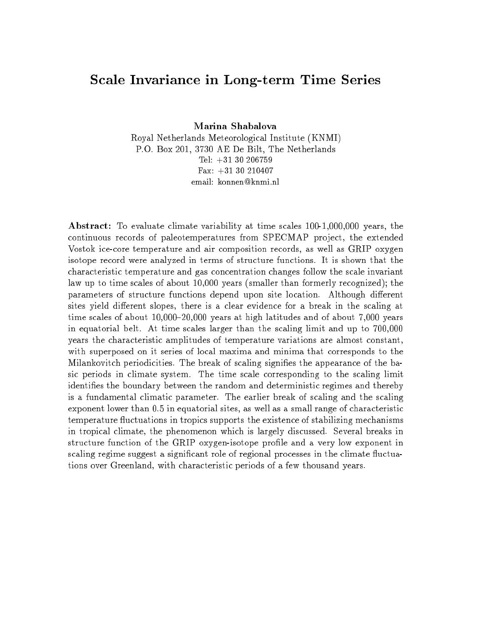#### Scale Invariance in Long-term Time Series

Marina Shabalova

Royal Netherlands Meteorological Institute (KNMI) P.O. Box 201, 3730 AE De Bilt, The Netherlands Tel: +31 30 206759Fax: +31 30 210407email: konnen@knmi.nl

Abstract: To evaluate climate variability at time scales 100-1,000,000 years, the continuous records of paleotemperatures from SPECMAP project, the extended Vostok ice-core temperature and air composition records, as well as GRIP oxygen isotope record were analyzed in terms of structure functions. It is shown that the characteristic temperature and gas concentration changes follow the scale invariant law up to time scales of about 10,000 years (smaller than formerly recognized); the parameters of structure functions depend upon site location. Although different sites yield different slopes, there is a clear evidence for a break in the scaling at time scales of about  $10,000-20,000$  years at high latitudes and of about 7,000 years in equatorial belt. At time scales larger than the scaling limit and up to 700,000 years the characteristic amplitudes of temperature variations are almost constant, with superposed on it series of local maxima and minima that corresponds to the Milankovitch periodicities. The break of scaling signies the appearance of the basic periods in climate system. The time scale corresponding to the scaling limit identifies the boundary between the random and deterministic regimes and thereby is a fundamental climatic parameter. The earlier break of scaling and the scaling exponent lower than 0.5 in equatorial sites, as well as a small range of characteristic temperature fluctuations in tropics supports the existence of stabilizing mechanisms in tropical climate, the phenomenon which is largely discussed. Several breaks in structure function of the GRIP oxygen-isotope profile and a very low exponent in scaling regime suggest a significant role of regional processes in the climate fluctuations over Greenland, with characteristic periods of a few thousand years.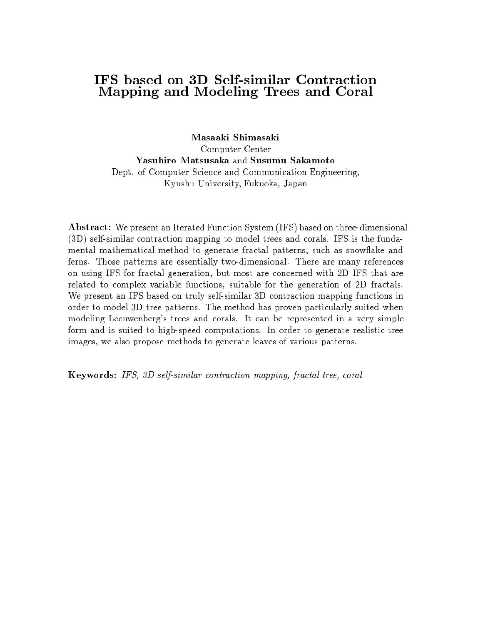#### **IFS** based on 3D Self-similar Contraction Mapping and Modeling Trees and Coral

Masaaki Shimasaki Computer Center Yasuhiro Matsusaka and Susumu Sakamoto Dept. of Computer Science and Communication Engineering, Kyushu University, Fukuoka, Japan

Abstract: We present an Iterated Function System (IFS) based on three-dimensional (3D) self-similar contraction mapping to model trees and corals. IFS is the fundamental mathematical method to generate fractal patterns, such as snow
ake and ferns. Those patterns are essentially two-dimensional. There are many references on using IFS for fractal generation, but most are concerned with 2D IFS that are related to complex variable functions, suitable for the generation of 2D fractals. We present an IFS based on truly self-similar 3D contraction mapping functions in order to model 3D tree patterns. The method has proven particularly suited when modeling Leeuwenberg's trees and corals. It can be represented in a very simple form and is suited to high-speed computations. In order to generate realistic tree images, we also propose methods to generate leaves of various patterns.

Keywords: IFS, 3D self-similar contraction mapping, fractal tree, coral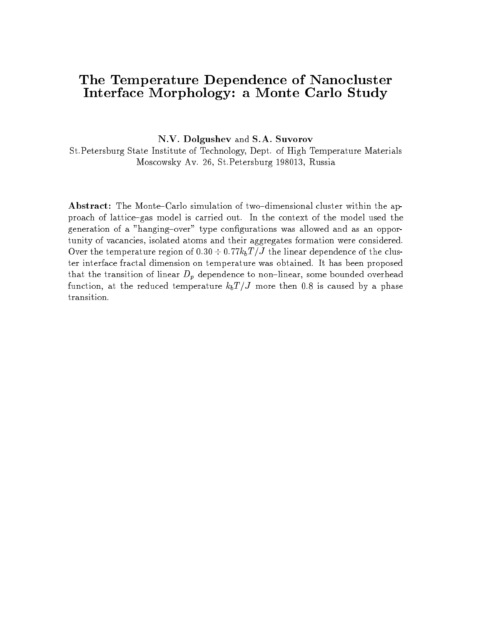#### The Temperature Dependence of Nanocluster Interface Morphology: a Monte Carlo Study

N.V. Dolgushev and S.A. Suvorov

St.Petersburg State Institute of Technology, Dept. of High Temperature Materials Moscowsky Av. 26, St.Petersburg 198013, Russia

Abstract: The Monte-Carlo simulation of two-dimensional cluster within the approach of lattice-gas model is carried out. In the context of the model used the generation of a "hanging-over" type configurations was allowed and as an opportunity of vacancies, isolated atoms and their aggregates formation were considered.  $\sigma$  the the temperature region of 0:30  $\alpha$  0:11  $\omega$ <sub>D</sub>  $\beta$  can informed dependence of the cluster interface fractal dimension on temperature was obtained. It has been proposed that the transition of linear  $D_p$  dependence to non-linear, some bounded overhead function, at the reduced temperature  $k_bT/J$  more then 0.8 is caused by a phase transition.